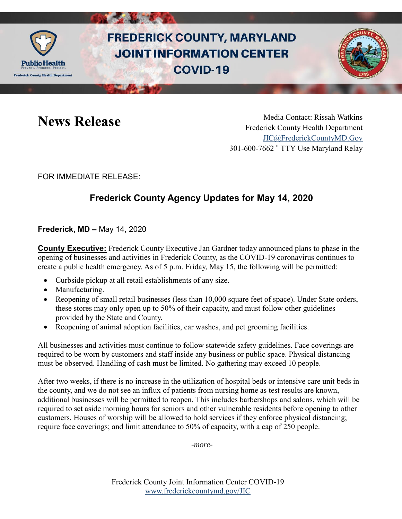

# **FREDERICK COUNTY, MARYLAND JOINT INFORMATION CENTER COVID-19**



News Release Media Contact: Rissah Watkins Frederick County Health Department [JIC@FrederickCountyMD.Gov](mailto:JIC@FrederickCountyMD.Gov) 301-600-7662 • TTY Use Maryland Relay

FOR IMMEDIATE RELEASE:

## **Frederick County Agency Updates for May 14, 2020**

**Frederick, MD –** May 14, 2020

**County Executive:** Frederick County Executive Jan Gardner today announced plans to phase in the opening of businesses and activities in Frederick County, as the COVID-19 coronavirus continues to create a public health emergency. As of 5 p.m. Friday, May 15, the following will be permitted:

- Curbside pickup at all retail establishments of any size.
- Manufacturing.
- Reopening of small retail businesses (less than 10,000 square feet of space). Under State orders, these stores may only open up to 50% of their capacity, and must follow other guidelines provided by the State and County.
- Reopening of animal adoption facilities, car washes, and pet grooming facilities.

All businesses and activities must continue to follow statewide safety guidelines. Face coverings are required to be worn by customers and staff inside any business or public space. Physical distancing must be observed. Handling of cash must be limited. No gathering may exceed 10 people.

After two weeks, if there is no increase in the utilization of hospital beds or intensive care unit beds in the county, and we do not see an influx of patients from nursing home as test results are known, additional businesses will be permitted to reopen. This includes barbershops and salons, which will be required to set aside morning hours for seniors and other vulnerable residents before opening to other customers. Houses of worship will be allowed to hold services if they enforce physical distancing; require face coverings; and limit attendance to 50% of capacity, with a cap of 250 people.

*-more-*